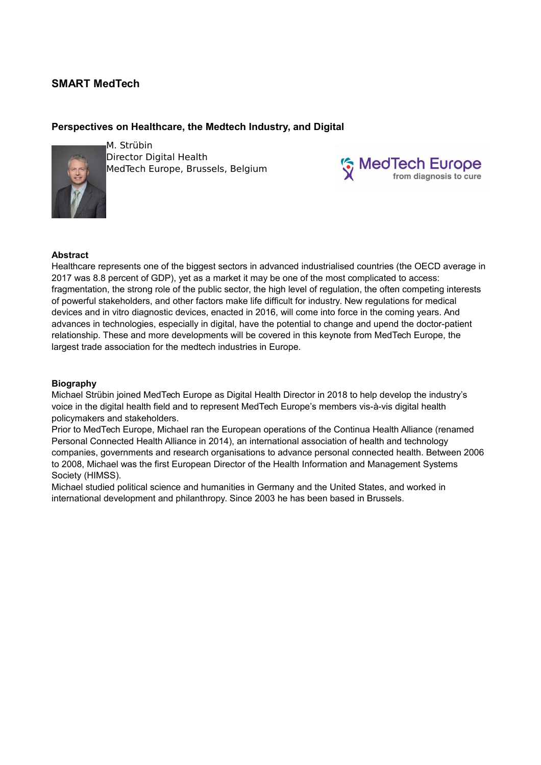# **SMART MedTech**

## **Perspectives on Healthcare, the Medtech Industry, and Digital**



M. Strübin Director Digital Health MedTech Europe, Brussels, Belgium



### **Abstract**

Healthcare represents one of the biggest sectors in advanced industrialised countries (the OECD average in 2017 was 8.8 percent of GDP), yet as a market it may be one of the most complicated to access: fragmentation, the strong role of the public sector, the high level of regulation, the often competing interests of powerful stakeholders, and other factors make life difficult for industry. New regulations for medical devices and in vitro diagnostic devices, enacted in 2016, will come into force in the coming years. And advances in technologies, especially in digital, have the potential to change and upend the doctor-patient relationship. These and more developments will be covered in this keynote from MedTech Europe, the largest trade association for the medtech industries in Europe.

### **Biography**

Michael Strübin joined MedTech Europe as Digital Health Director in 2018 to help develop the industry's voice in the digital health field and to represent MedTech Europe's members vis-à-vis digital health policymakers and stakeholders.

Prior to MedTech Europe, Michael ran the European operations of the Continua Health Alliance (renamed Personal Connected Health Alliance in 2014), an international association of health and technology companies, governments and research organisations to advance personal connected health. Between 2006 to 2008, Michael was the first European Director of the Health Information and Management Systems Society (HIMSS).

Michael studied political science and humanities in Germany and the United States, and worked in international development and philanthropy. Since 2003 he has been based in Brussels.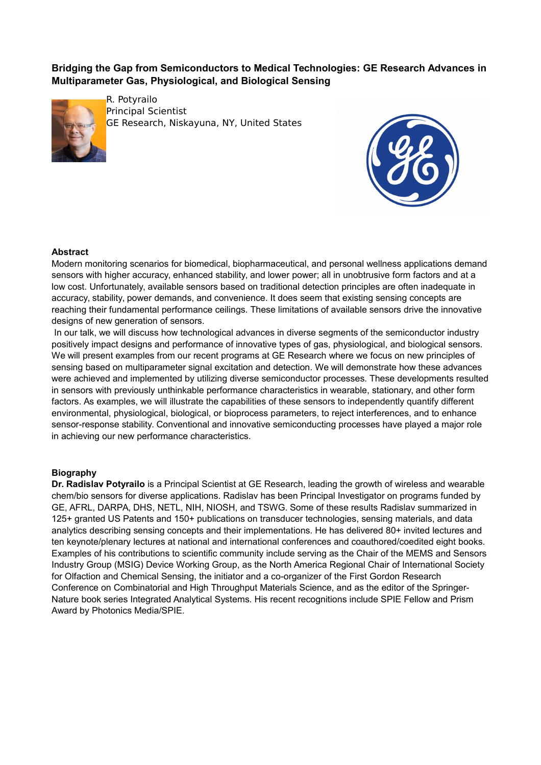**Bridging the Gap from Semiconductors to Medical Technologies: GE Research Advances in Multiparameter Gas, Physiological, and Biological Sensing**



R. Potyrailo Principal Scientist GE Research, Niskayuna, NY, United States



### **Abstract**

Modern monitoring scenarios for biomedical, biopharmaceutical, and personal wellness applications demand sensors with higher accuracy, enhanced stability, and lower power; all in unobtrusive form factors and at a low cost. Unfortunately, available sensors based on traditional detection principles are often inadequate in accuracy, stability, power demands, and convenience. It does seem that existing sensing concepts are reaching their fundamental performance ceilings. These limitations of available sensors drive the innovative designs of new generation of sensors.

In our talk, we will discuss how technological advances in diverse segments of the semiconductor industry positively impact designs and performance of innovative types of gas, physiological, and biological sensors. We will present examples from our recent programs at GE Research where we focus on new principles of sensing based on multiparameter signal excitation and detection. We will demonstrate how these advances were achieved and implemented by utilizing diverse semiconductor processes. These developments resulted in sensors with previously unthinkable performance characteristics in wearable, stationary, and other form factors. As examples, we will illustrate the capabilities of these sensors to independently quantify different environmental, physiological, biological, or bioprocess parameters, to reject interferences, and to enhance sensor-response stability. Conventional and innovative semiconducting processes have played a major role in achieving our new performance characteristics.

#### **Biography**

**Dr. Radislav Potyrailo** is a Principal Scientist at GE Research, leading the growth of wireless and wearable chem/bio sensors for diverse applications. Radislav has been Principal Investigator on programs funded by GE, AFRL, DARPA, DHS, NETL, NIH, NIOSH, and TSWG. Some of these results Radislav summarized in 125+ granted US Patents and 150+ publications on transducer technologies, sensing materials, and data analytics describing sensing concepts and their implementations. He has delivered 80+ invited lectures and ten keynote/plenary lectures at national and international conferences and coauthored/coedited eight books. Examples of his contributions to scientific community include serving as the Chair of the MEMS and Sensors Industry Group (MSIG) Device Working Group, as the North America Regional Chair of International Society for Olfaction and Chemical Sensing, the initiator and a co-organizer of the First Gordon Research Conference on Combinatorial and High Throughput Materials Science, and as the editor of the Springer-Nature book series Integrated Analytical Systems. His recent recognitions include SPIE Fellow and Prism Award by Photonics Media/SPIE.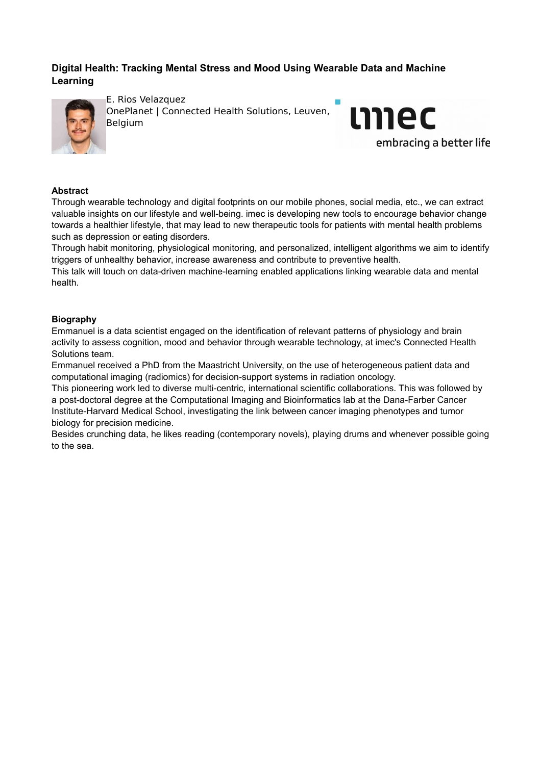# **Digital Health: Tracking Mental Stress and Mood Using Wearable Data and Machine Learning**



E. Rios Velazquez OnePlanet | Connected Health Solutions, Leuven, Belgium



## **Abstract**

Through wearable technology and digital footprints on our mobile phones, social media, etc., we can extract valuable insights on our lifestyle and well-being. imec is developing new tools to encourage behavior change towards a healthier lifestyle, that may lead to new therapeutic tools for patients with mental health problems such as depression or eating disorders.

Through habit monitoring, physiological monitoring, and personalized, intelligent algorithms we aim to identify triggers of unhealthy behavior, increase awareness and contribute to preventive health.

This talk will touch on data-driven machine-learning enabled applications linking wearable data and mental health.

## **Biography**

Emmanuel is a data scientist engaged on the identification of relevant patterns of physiology and brain activity to assess cognition, mood and behavior through wearable technology, at imec's Connected Health Solutions team.

Emmanuel received a PhD from the Maastricht University, on the use of heterogeneous patient data and computational imaging (radiomics) for decision-support systems in radiation oncology.

This pioneering work led to diverse multi-centric, international scientific collaborations. This was followed by a post-doctoral degree at the Computational Imaging and Bioinformatics lab at the Dana-Farber Cancer Institute-Harvard Medical School, investigating the link between cancer imaging phenotypes and tumor biology for precision medicine.

Besides crunching data, he likes reading (contemporary novels), playing drums and whenever possible going to the sea.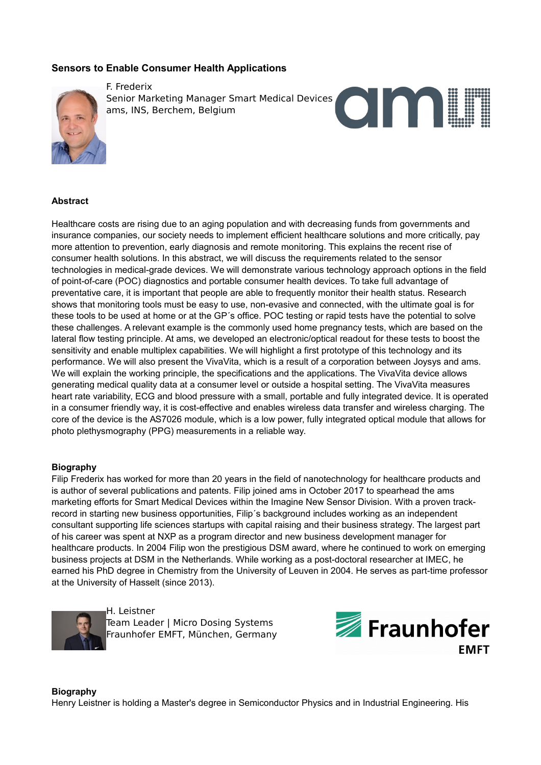## **Sensors to Enable Consumer Health Applications**



F. Frederix Senior Marketing Manager Smart Medical Devices ams, INS, Berchem, Belgium



## **Abstract**

Healthcare costs are rising due to an aging population and with decreasing funds from governments and insurance companies, our society needs to implement efficient healthcare solutions and more critically, pay more attention to prevention, early diagnosis and remote monitoring. This explains the recent rise of consumer health solutions. In this abstract, we will discuss the requirements related to the sensor technologies in medical-grade devices. We will demonstrate various technology approach options in the field of point-of-care (POC) diagnostics and portable consumer health devices. To take full advantage of preventative care, it is important that people are able to frequently monitor their health status. Research shows that monitoring tools must be easy to use, non-evasive and connected, with the ultimate goal is for these tools to be used at home or at the GP´s office. POC testing or rapid tests have the potential to solve these challenges. A relevant example is the commonly used home pregnancy tests, which are based on the lateral flow testing principle. At ams, we developed an electronic/optical readout for these tests to boost the sensitivity and enable multiplex capabilities. We will highlight a first prototype of this technology and its performance. We will also present the VivaVita, which is a result of a corporation between Joysys and ams. We will explain the working principle, the specifications and the applications. The VivaVita device allows generating medical quality data at a consumer level or outside a hospital setting. The VivaVita measures heart rate variability, ECG and blood pressure with a small, portable and fully integrated device. It is operated in a consumer friendly way, it is cost-effective and enables wireless data transfer and wireless charging. The core of the device is the AS7026 module, which is a low power, fully integrated optical module that allows for photo plethysmography (PPG) measurements in a reliable way.

## **Biography**

Filip Frederix has worked for more than 20 years in the field of nanotechnology for healthcare products and is author of several publications and patents. Filip joined ams in October 2017 to spearhead the ams marketing efforts for Smart Medical Devices within the Imagine New Sensor Division. With a proven trackrecord in starting new business opportunities, Filip´s background includes working as an independent consultant supporting life sciences startups with capital raising and their business strategy. The largest part of his career was spent at NXP as a program director and new business development manager for healthcare products. In 2004 Filip won the prestigious DSM award, where he continued to work on emerging business projects at DSM in the Netherlands. While working as a post-doctoral researcher at IMEC, he earned his PhD degree in Chemistry from the University of Leuven in 2004. He serves as part-time professor at the University of Hasselt (since 2013).



H. Leistner Team Leader | Micro Dosing Systems Fraunhofer EMFT, München, Germany



**Biography** Henry Leistner is holding a Master's degree in Semiconductor Physics and in Industrial Engineering. His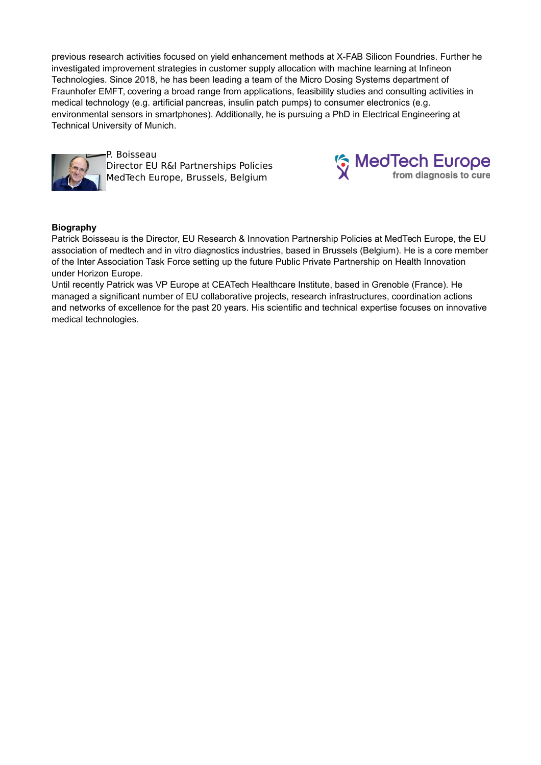previous research activities focused on yield enhancement methods at X-FAB Silicon Foundries. Further he investigated improvement strategies in customer supply allocation with machine learning at Infineon Technologies. Since 2018, he has been leading a team of the Micro Dosing Systems department of Fraunhofer EMFT, covering a broad range from applications, feasibility studies and consulting activities in medical technology (e.g. artificial pancreas, insulin patch pumps) to consumer electronics (e.g. environmental sensors in smartphones). Additionally, he is pursuing a PhD in Electrical Engineering at Technical University of Munich.



P. Boisseau Director EU R&I Partnerships Policies MedTech Europe, Brussels, Belgium



## **Biography**

Patrick Boisseau is the Director, EU Research & Innovation Partnership Policies at MedTech Europe, the EU association of medtech and in vitro diagnostics industries, based in Brussels (Belgium). He is a core member of the Inter Association Task Force setting up the future Public Private Partnership on Health Innovation under Horizon Europe.

Until recently Patrick was VP Europe at CEATech Healthcare Institute, based in Grenoble (France). He managed a significant number of EU collaborative projects, research infrastructures, coordination actions and networks of excellence for the past 20 years. His scientific and technical expertise focuses on innovative medical technologies.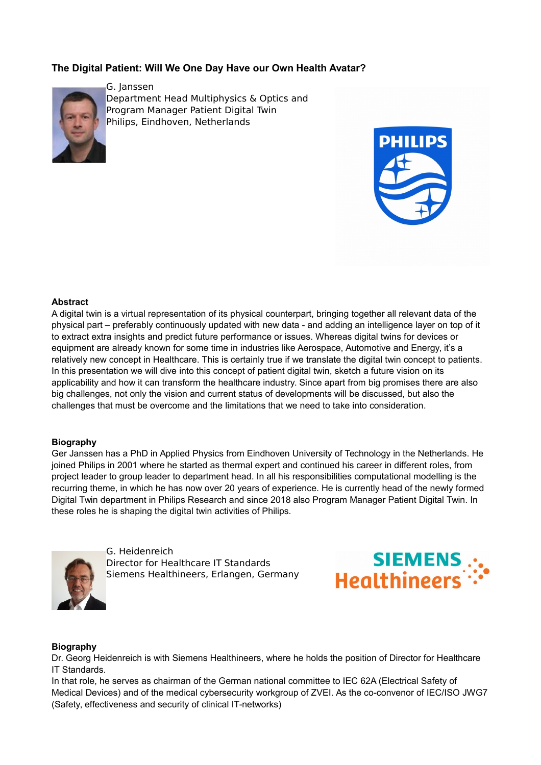# **The Digital Patient: Will We One Day Have our Own Health Avatar?**



G. Janssen Department Head Multiphysics & Optics and Program Manager Patient Digital Twin Philips, Eindhoven, Netherlands



#### **Abstract**

A digital twin is a virtual representation of its physical counterpart, bringing together all relevant data of the physical part – preferably continuously updated with new data - and adding an intelligence layer on top of it to extract extra insights and predict future performance or issues. Whereas digital twins for devices or equipment are already known for some time in industries like Aerospace, Automotive and Energy, it's a relatively new concept in Healthcare. This is certainly true if we translate the digital twin concept to patients. In this presentation we will dive into this concept of patient digital twin, sketch a future vision on its applicability and how it can transform the healthcare industry. Since apart from big promises there are also big challenges, not only the vision and current status of developments will be discussed, but also the challenges that must be overcome and the limitations that we need to take into consideration.

#### **Biography**

Ger Janssen has a PhD in Applied Physics from Eindhoven University of Technology in the Netherlands. He joined Philips in 2001 where he started as thermal expert and continued his career in different roles, from project leader to group leader to department head. In all his responsibilities computational modelling is the recurring theme, in which he has now over 20 years of experience. He is currently head of the newly formed Digital Twin department in Philips Research and since 2018 also Program Manager Patient Digital Twin. In these roles he is shaping the digital twin activities of Philips.



G. Heidenreich Director for Healthcare IT Standards Siemens Healthineers, Erlangen, Germany



#### **Biography**

Dr. Georg Heidenreich is with Siemens Healthineers, where he holds the position of Director for Healthcare IT Standards.

In that role, he serves as chairman of the German national committee to IEC 62A (Electrical Safety of Medical Devices) and of the medical cybersecurity workgroup of ZVEI. As the co-convenor of IEC/ISO JWG7 (Safety, effectiveness and security of clinical IT-networks)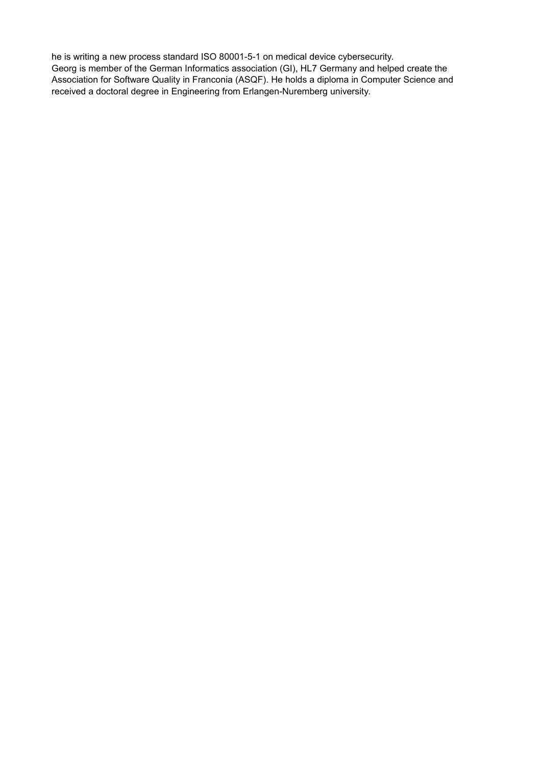he is writing a new process standard ISO 80001-5-1 on medical device cybersecurity. Georg is member of the German Informatics association (GI), HL7 Germany and helped create the Association for Software Quality in Franconia (ASQF). He holds a diploma in Computer Science and received a doctoral degree in Engineering from Erlangen-Nuremberg university.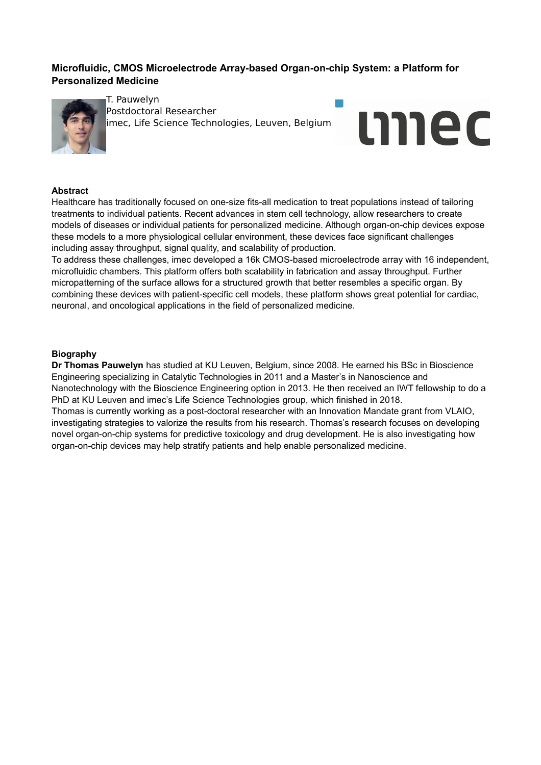# **Microfluidic, CMOS Microelectrode Array-based Organ-on-chip System: a Platform for Personalized Medicine**



T. Pauwelyn Postdoctoral Researcher imec, Life Science Technologies, Leuven, Belgium



## **Abstract**

Healthcare has traditionally focused on one-size fits-all medication to treat populations instead of tailoring treatments to individual patients. Recent advances in stem cell technology, allow researchers to create models of diseases or individual patients for personalized medicine. Although organ-on-chip devices expose these models to a more physiological cellular environment, these devices face significant challenges including assay throughput, signal quality, and scalability of production.

To address these challenges, imec developed a 16k CMOS-based microelectrode array with 16 independent, microfluidic chambers. This platform offers both scalability in fabrication and assay throughput. Further micropatterning of the surface allows for a structured growth that better resembles a specific organ. By combining these devices with patient-specific cell models, these platform shows great potential for cardiac, neuronal, and oncological applications in the field of personalized medicine.

### **Biography**

**Dr Thomas Pauwelyn** has studied at KU Leuven, Belgium, since 2008. He earned his BSc in Bioscience Engineering specializing in Catalytic Technologies in 2011 and a Master's in Nanoscience and Nanotechnology with the Bioscience Engineering option in 2013. He then received an IWT fellowship to do a PhD at KU Leuven and imec's Life Science Technologies group, which finished in 2018. Thomas is currently working as a post-doctoral researcher with an Innovation Mandate grant from VLAIO, investigating strategies to valorize the results from his research. Thomas's research focuses on developing novel organ-on-chip systems for predictive toxicology and drug development. He is also investigating how organ-on-chip devices may help stratify patients and help enable personalized medicine.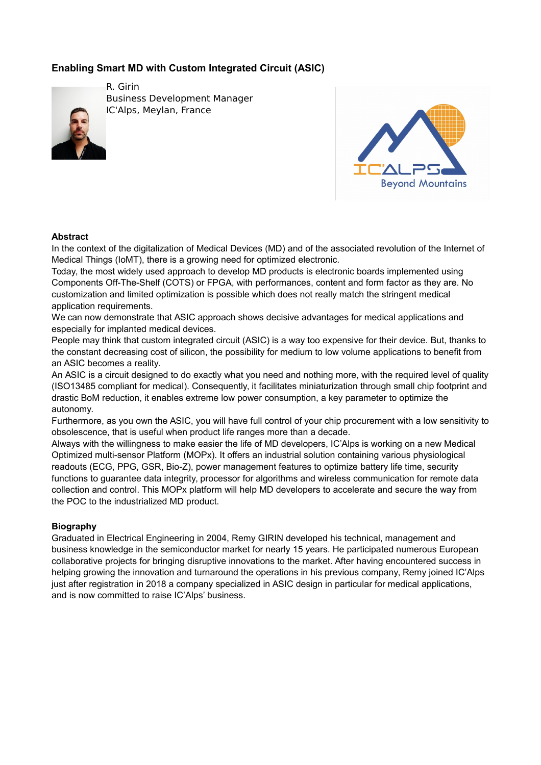# **Enabling Smart MD with Custom Integrated Circuit (ASIC)**



R. Girin Business Development Manager IC'Alps, Meylan, France



## **Abstract**

In the context of the digitalization of Medical Devices (MD) and of the associated revolution of the Internet of Medical Things (IoMT), there is a growing need for optimized electronic.

Today, the most widely used approach to develop MD products is electronic boards implemented using Components Off-The-Shelf (COTS) or FPGA, with performances, content and form factor as they are. No customization and limited optimization is possible which does not really match the stringent medical application requirements.

We can now demonstrate that ASIC approach shows decisive advantages for medical applications and especially for implanted medical devices.

People may think that custom integrated circuit (ASIC) is a way too expensive for their device. But, thanks to the constant decreasing cost of silicon, the possibility for medium to low volume applications to benefit from an ASIC becomes a reality.

An ASIC is a circuit designed to do exactly what you need and nothing more, with the required level of quality (ISO13485 compliant for medical). Consequently, it facilitates miniaturization through small chip footprint and drastic BoM reduction, it enables extreme low power consumption, a key parameter to optimize the autonomy.

Furthermore, as you own the ASIC, you will have full control of your chip procurement with a low sensitivity to obsolescence, that is useful when product life ranges more than a decade.

Always with the willingness to make easier the life of MD developers, IC'Alps is working on a new Medical Optimized multi-sensor Platform (MOPx). It offers an industrial solution containing various physiological readouts (ECG, PPG, GSR, Bio-Z), power management features to optimize battery life time, security functions to guarantee data integrity, processor for algorithms and wireless communication for remote data collection and control. This MOPx platform will help MD developers to accelerate and secure the way from the POC to the industrialized MD product.

## **Biography**

Graduated in Electrical Engineering in 2004, Remy GIRIN developed his technical, management and business knowledge in the semiconductor market for nearly 15 years. He participated numerous European collaborative projects for bringing disruptive innovations to the market. After having encountered success in helping growing the innovation and turnaround the operations in his previous company, Remy joined IC'Alps just after registration in 2018 a company specialized in ASIC design in particular for medical applications, and is now committed to raise IC'Alps' business.